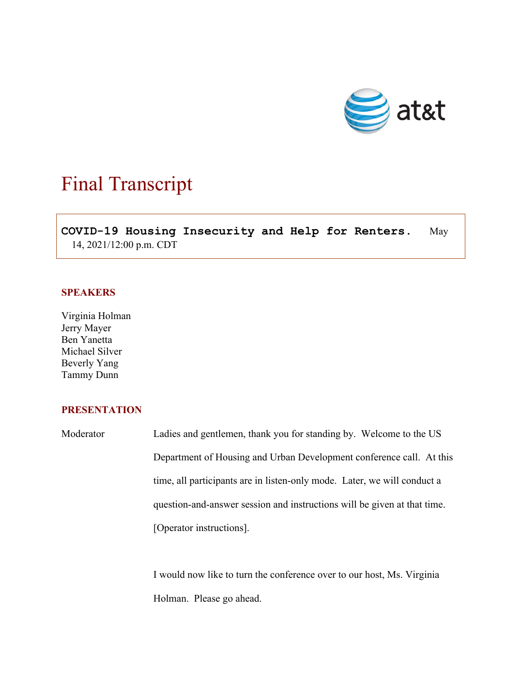

## Final Transcript

 $\overline{a}$ **COVID-19 Housing Insecurity and Help for Renters.** May 14, 2021/12:00 p.m. CDT

## **SPEAKERS**

Virginia Holman Jerry Mayer Ben Yanetta Michael Silver Beverly Yang Tammy Dunn

## **PRESENTATION**

Moderator Ladies and gentlemen, thank you for standing by. Welcome to the US Department of Housing and Urban Development conference call. At this time, all participants are in listen-only mode. Later, we will conduct a question-and-answer session and instructions will be given at that time. [Operator instructions].

> I would now like to turn the conference over to our host, Ms. Virginia Holman. Please go ahead.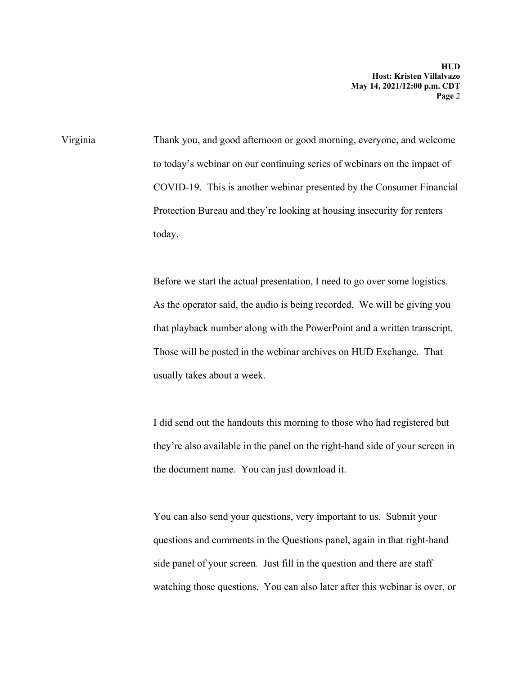Virginia Thank you, and good afternoon or good morning, everyone, and welcome to today's webinar on our continuing series of webinars on the impact of COVID-19. This is another webinar presented by the Consumer Financial Protection Bureau and they're looking at housing insecurity for renters today.

> Before we start the actual presentation, I need to go over some logistics. As the operator said, the audio is being recorded. We will be giving you that playback number along with the PowerPoint and a written transcript. Those will be posted in the webinar archives on HUD Exchange. That usually takes about a week.

> I did send out the handouts this morning to those who had registered but they're also available in the panel on the right-hand side of your screen in the document name. You can just download it.

> You can also send your questions, very important to us. Submit your questions and comments in the Questions panel, again in that right-hand side panel of your screen. Just fill in the question and there are staff watching those questions. You can also later after this webinar is over, or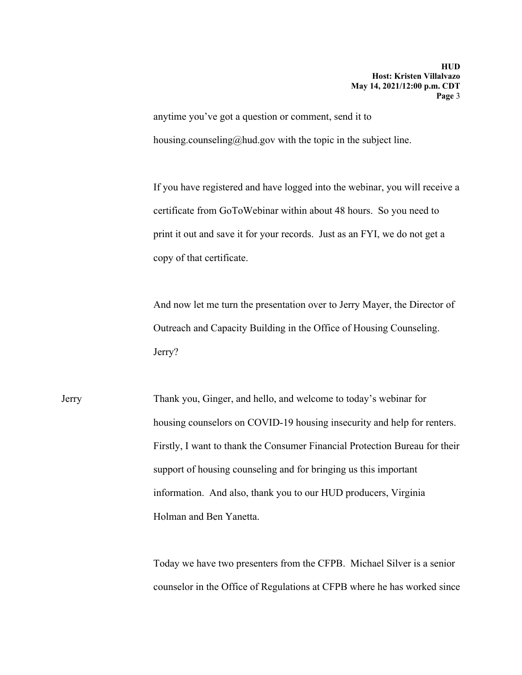anytime you've got a question or comment, send it to housing.counseling@hud.gov with the topic in the subject line.

If you have registered and have logged into the webinar, you will receive a certificate from GoToWebinar within about 48 hours. So you need to print it out and save it for your records. Just as an FYI, we do not get a copy of that certificate.

And now let me turn the presentation over to Jerry Mayer, the Director of Outreach and Capacity Building in the Office of Housing Counseling. Jerry?

Jerry Thank you, Ginger, and hello, and welcome to today's webinar for housing counselors on COVID-19 housing insecurity and help for renters. Firstly, I want to thank the Consumer Financial Protection Bureau for their support of housing counseling and for bringing us this important information. And also, thank you to our HUD producers, Virginia Holman and Ben Yanetta.

> Today we have two presenters from the CFPB. Michael Silver is a senior counselor in the Office of Regulations at CFPB where he has worked since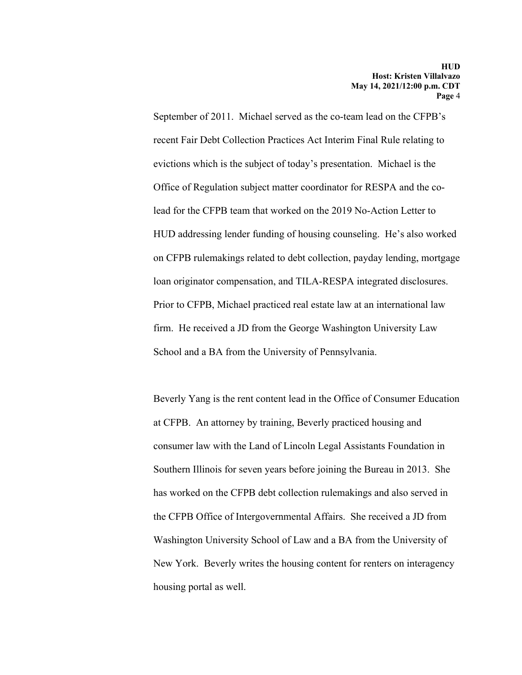September of 2011. Michael served as the co-team lead on the CFPB's recent Fair Debt Collection Practices Act Interim Final Rule relating to evictions which is the subject of today's presentation. Michael is the Office of Regulation subject matter coordinator for RESPA and the colead for the CFPB team that worked on the 2019 No-Action Letter to HUD addressing lender funding of housing counseling. He's also worked on CFPB rulemakings related to debt collection, payday lending, mortgage loan originator compensation, and TILA-RESPA integrated disclosures. Prior to CFPB, Michael practiced real estate law at an international law firm. He received a JD from the George Washington University Law School and a BA from the University of Pennsylvania.

Beverly Yang is the rent content lead in the Office of Consumer Education at CFPB. An attorney by training, Beverly practiced housing and consumer law with the Land of Lincoln Legal Assistants Foundation in Southern Illinois for seven years before joining the Bureau in 2013. She has worked on the CFPB debt collection rulemakings and also served in the CFPB Office of Intergovernmental Affairs. She received a JD from Washington University School of Law and a BA from the University of New York. Beverly writes the housing content for renters on interagency housing portal as well.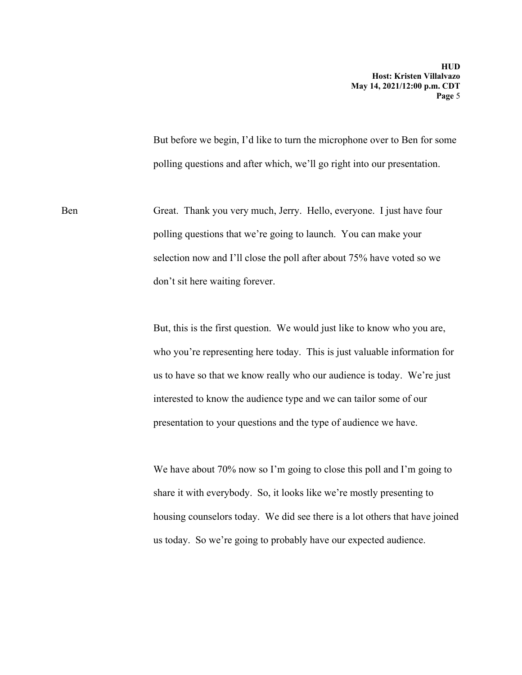But before we begin, I'd like to turn the microphone over to Ben for some polling questions and after which, we'll go right into our presentation.

Ben Great. Thank you very much, Jerry. Hello, everyone. I just have four polling questions that we're going to launch. You can make your selection now and I'll close the poll after about 75% have voted so we don't sit here waiting forever.

> But, this is the first question. We would just like to know who you are, who you're representing here today. This is just valuable information for us to have so that we know really who our audience is today. We're just interested to know the audience type and we can tailor some of our presentation to your questions and the type of audience we have.

We have about 70% now so I'm going to close this poll and I'm going to share it with everybody. So, it looks like we're mostly presenting to housing counselors today. We did see there is a lot others that have joined us today. So we're going to probably have our expected audience.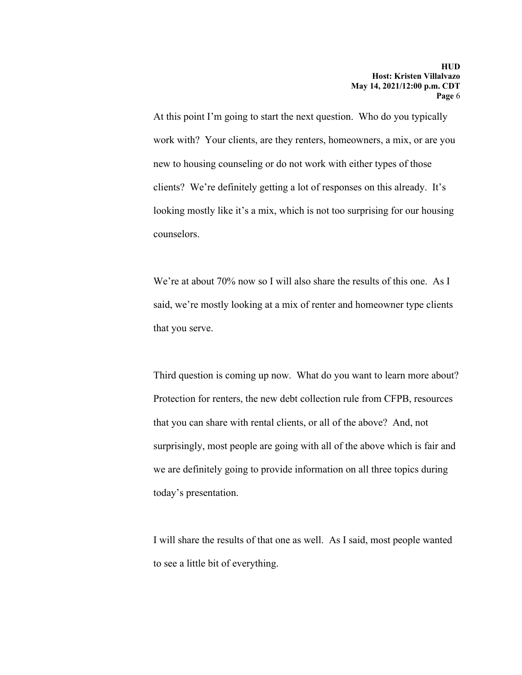At this point I'm going to start the next question. Who do you typically work with? Your clients, are they renters, homeowners, a mix, or are you new to housing counseling or do not work with either types of those clients? We're definitely getting a lot of responses on this already. It's looking mostly like it's a mix, which is not too surprising for our housing counselors.

We're at about 70% now so I will also share the results of this one. As I said, we're mostly looking at a mix of renter and homeowner type clients that you serve.

Third question is coming up now. What do you want to learn more about? Protection for renters, the new debt collection rule from CFPB, resources that you can share with rental clients, or all of the above? And, not surprisingly, most people are going with all of the above which is fair and we are definitely going to provide information on all three topics during today's presentation.

I will share the results of that one as well. As I said, most people wanted to see a little bit of everything.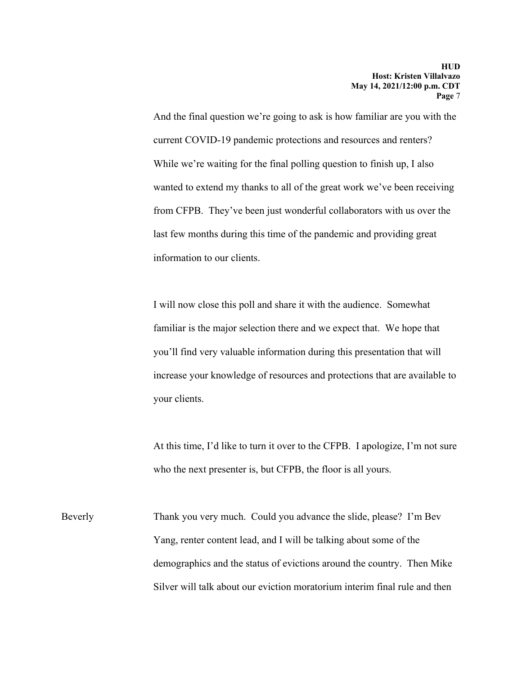And the final question we're going to ask is how familiar are you with the current COVID-19 pandemic protections and resources and renters? While we're waiting for the final polling question to finish up, I also wanted to extend my thanks to all of the great work we've been receiving from CFPB. They've been just wonderful collaborators with us over the last few months during this time of the pandemic and providing great information to our clients.

I will now close this poll and share it with the audience. Somewhat familiar is the major selection there and we expect that. We hope that you'll find very valuable information during this presentation that will increase your knowledge of resources and protections that are available to your clients.

At this time, I'd like to turn it over to the CFPB. I apologize, I'm not sure who the next presenter is, but CFPB, the floor is all yours.

Beverly Thank you very much. Could you advance the slide, please? I'm Bev Yang, renter content lead, and I will be talking about some of the demographics and the status of evictions around the country. Then Mike Silver will talk about our eviction moratorium interim final rule and then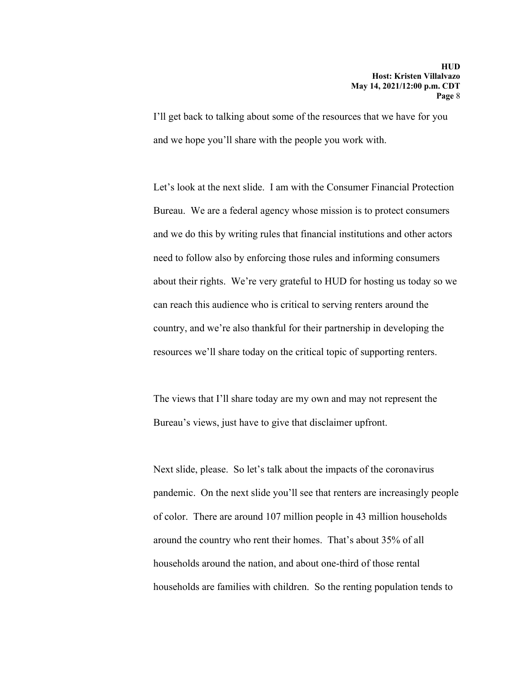I'll get back to talking about some of the resources that we have for you and we hope you'll share with the people you work with.

Let's look at the next slide. I am with the Consumer Financial Protection Bureau. We are a federal agency whose mission is to protect consumers and we do this by writing rules that financial institutions and other actors need to follow also by enforcing those rules and informing consumers about their rights. We're very grateful to HUD for hosting us today so we can reach this audience who is critical to serving renters around the country, and we're also thankful for their partnership in developing the resources we'll share today on the critical topic of supporting renters.

The views that I'll share today are my own and may not represent the Bureau's views, just have to give that disclaimer upfront.

Next slide, please. So let's talk about the impacts of the coronavirus pandemic. On the next slide you'll see that renters are increasingly people of color. There are around 107 million people in 43 million households around the country who rent their homes. That's about 35% of all households around the nation, and about one-third of those rental households are families with children. So the renting population tends to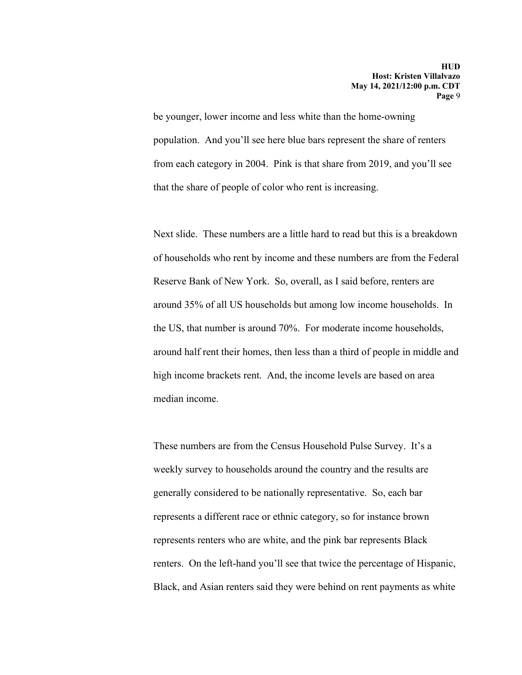be younger, lower income and less white than the home-owning population. And you'll see here blue bars represent the share of renters from each category in 2004. Pink is that share from 2019, and you'll see that the share of people of color who rent is increasing.

Next slide. These numbers are a little hard to read but this is a breakdown of households who rent by income and these numbers are from the Federal Reserve Bank of New York. So, overall, as I said before, renters are around 35% of all US households but among low income households. In the US, that number is around 70%. For moderate income households, around half rent their homes, then less than a third of people in middle and high income brackets rent. And, the income levels are based on area median income.

These numbers are from the Census Household Pulse Survey. It's a weekly survey to households around the country and the results are generally considered to be nationally representative. So, each bar represents a different race or ethnic category, so for instance brown represents renters who are white, and the pink bar represents Black renters. On the left-hand you'll see that twice the percentage of Hispanic, Black, and Asian renters said they were behind on rent payments as white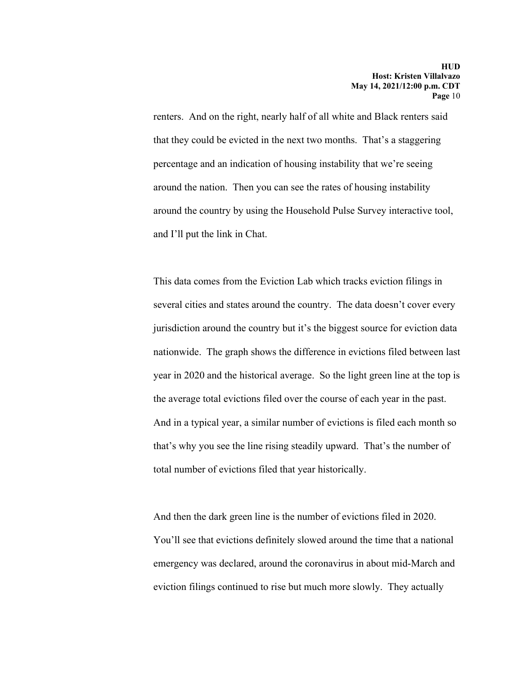renters. And on the right, nearly half of all white and Black renters said that they could be evicted in the next two months. That's a staggering percentage and an indication of housing instability that we're seeing around the nation. Then you can see the rates of housing instability around the country by using the Household Pulse Survey interactive tool, and I'll put the link in Chat.

This data comes from the Eviction Lab which tracks eviction filings in several cities and states around the country. The data doesn't cover every jurisdiction around the country but it's the biggest source for eviction data nationwide. The graph shows the difference in evictions filed between last year in 2020 and the historical average. So the light green line at the top is the average total evictions filed over the course of each year in the past. And in a typical year, a similar number of evictions is filed each month so that's why you see the line rising steadily upward. That's the number of total number of evictions filed that year historically.

And then the dark green line is the number of evictions filed in 2020. You'll see that evictions definitely slowed around the time that a national emergency was declared, around the coronavirus in about mid-March and eviction filings continued to rise but much more slowly. They actually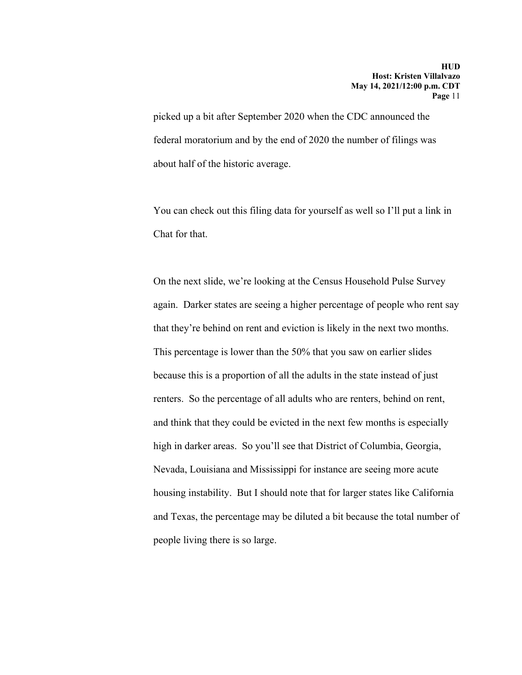picked up a bit after September 2020 when the CDC announced the federal moratorium and by the end of 2020 the number of filings was about half of the historic average.

You can check out this filing data for yourself as well so I'll put a link in Chat for that.

On the next slide, we're looking at the Census Household Pulse Survey again. Darker states are seeing a higher percentage of people who rent say that they're behind on rent and eviction is likely in the next two months. This percentage is lower than the 50% that you saw on earlier slides because this is a proportion of all the adults in the state instead of just renters. So the percentage of all adults who are renters, behind on rent, and think that they could be evicted in the next few months is especially high in darker areas. So you'll see that District of Columbia, Georgia, Nevada, Louisiana and Mississippi for instance are seeing more acute housing instability. But I should note that for larger states like California and Texas, the percentage may be diluted a bit because the total number of people living there is so large.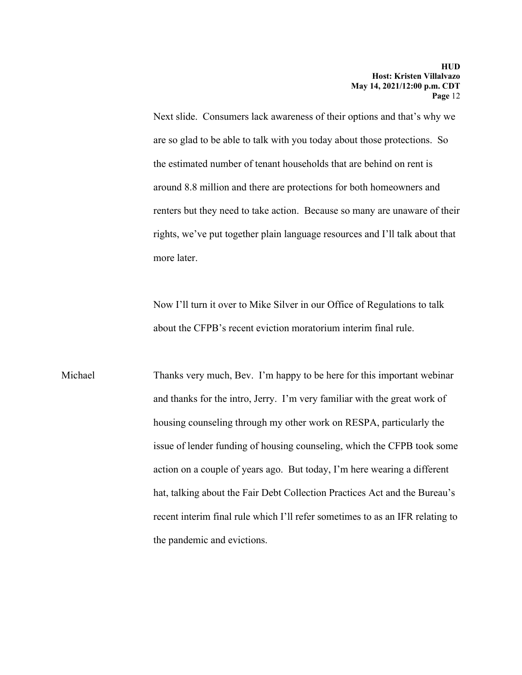Next slide. Consumers lack awareness of their options and that's why we are so glad to be able to talk with you today about those protections. So the estimated number of tenant households that are behind on rent is around 8.8 million and there are protections for both homeowners and renters but they need to take action. Because so many are unaware of their rights, we've put together plain language resources and I'll talk about that more later.

Now I'll turn it over to Mike Silver in our Office of Regulations to talk about the CFPB's recent eviction moratorium interim final rule.

Michael Thanks very much, Bev. I'm happy to be here for this important webinar and thanks for the intro, Jerry. I'm very familiar with the great work of housing counseling through my other work on RESPA, particularly the issue of lender funding of housing counseling, which the CFPB took some action on a couple of years ago. But today, I'm here wearing a different hat, talking about the Fair Debt Collection Practices Act and the Bureau's recent interim final rule which I'll refer sometimes to as an IFR relating to the pandemic and evictions.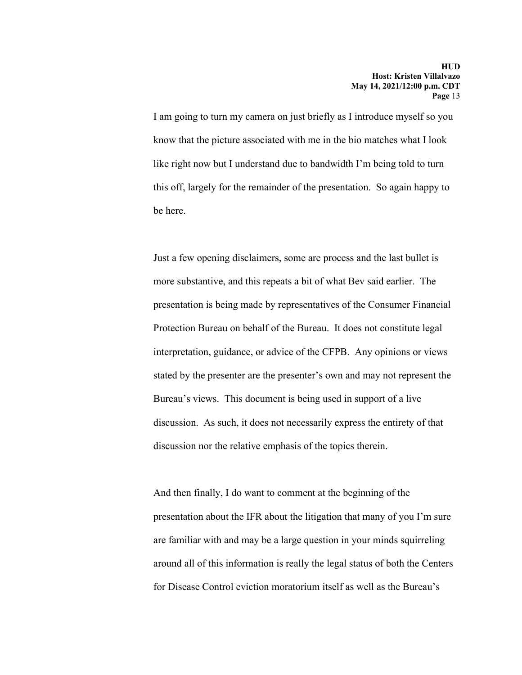I am going to turn my camera on just briefly as I introduce myself so you know that the picture associated with me in the bio matches what I look like right now but I understand due to bandwidth I'm being told to turn this off, largely for the remainder of the presentation. So again happy to be here.

Just a few opening disclaimers, some are process and the last bullet is more substantive, and this repeats a bit of what Bev said earlier. The presentation is being made by representatives of the Consumer Financial Protection Bureau on behalf of the Bureau. It does not constitute legal interpretation, guidance, or advice of the CFPB. Any opinions or views stated by the presenter are the presenter's own and may not represent the Bureau's views. This document is being used in support of a live discussion. As such, it does not necessarily express the entirety of that discussion nor the relative emphasis of the topics therein.

And then finally, I do want to comment at the beginning of the presentation about the IFR about the litigation that many of you I'm sure are familiar with and may be a large question in your minds squirreling around all of this information is really the legal status of both the Centers for Disease Control eviction moratorium itself as well as the Bureau's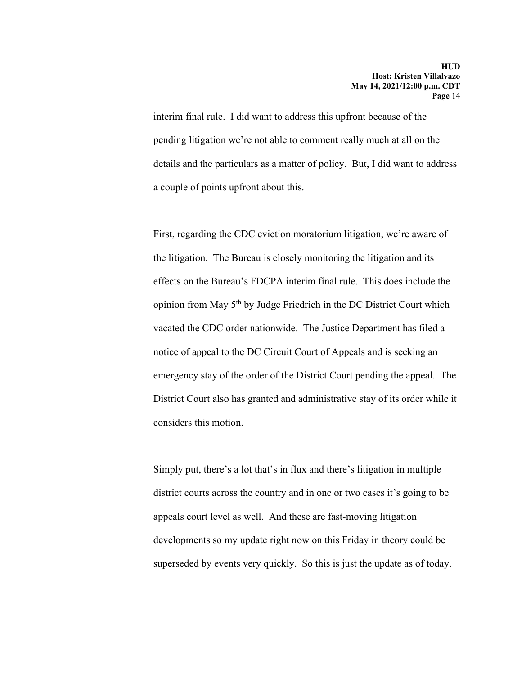interim final rule. I did want to address this upfront because of the pending litigation we're not able to comment really much at all on the details and the particulars as a matter of policy. But, I did want to address a couple of points upfront about this.

First, regarding the CDC eviction moratorium litigation, we're aware of the litigation. The Bureau is closely monitoring the litigation and its effects on the Bureau's FDCPA interim final rule. This does include the opinion from May 5th by Judge Friedrich in the DC District Court which vacated the CDC order nationwide. The Justice Department has filed a notice of appeal to the DC Circuit Court of Appeals and is seeking an emergency stay of the order of the District Court pending the appeal. The District Court also has granted and administrative stay of its order while it considers this motion.

Simply put, there's a lot that's in flux and there's litigation in multiple district courts across the country and in one or two cases it's going to be appeals court level as well. And these are fast-moving litigation developments so my update right now on this Friday in theory could be superseded by events very quickly. So this is just the update as of today.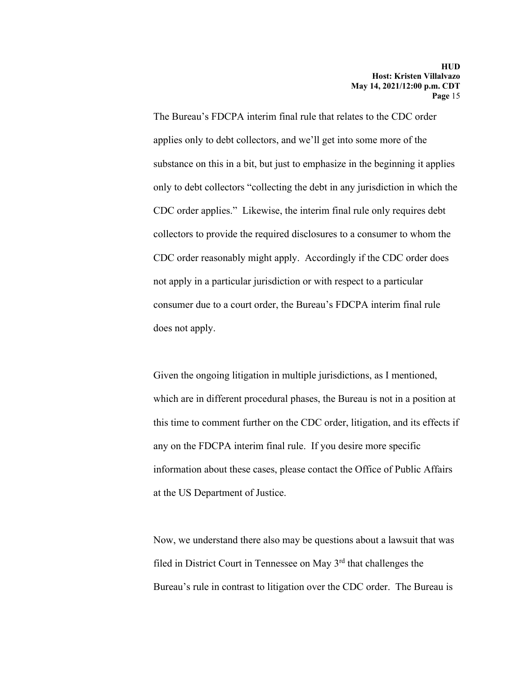The Bureau's FDCPA interim final rule that relates to the CDC order applies only to debt collectors, and we'll get into some more of the substance on this in a bit, but just to emphasize in the beginning it applies only to debt collectors "collecting the debt in any jurisdiction in which the CDC order applies." Likewise, the interim final rule only requires debt collectors to provide the required disclosures to a consumer to whom the CDC order reasonably might apply. Accordingly if the CDC order does not apply in a particular jurisdiction or with respect to a particular consumer due to a court order, the Bureau's FDCPA interim final rule does not apply.

Given the ongoing litigation in multiple jurisdictions, as I mentioned, which are in different procedural phases, the Bureau is not in a position at this time to comment further on the CDC order, litigation, and its effects if any on the FDCPA interim final rule. If you desire more specific information about these cases, please contact the Office of Public Affairs at the US Department of Justice.

Now, we understand there also may be questions about a lawsuit that was filed in District Court in Tennessee on May 3rd that challenges the Bureau's rule in contrast to litigation over the CDC order. The Bureau is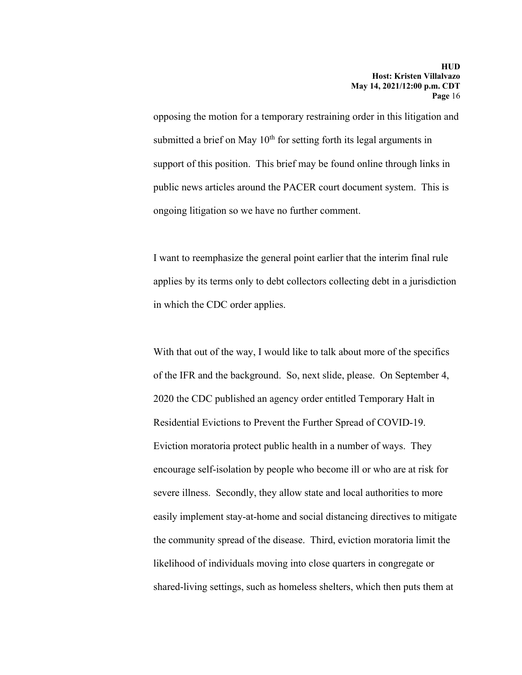opposing the motion for a temporary restraining order in this litigation and submitted a brief on May  $10<sup>th</sup>$  for setting forth its legal arguments in support of this position. This brief may be found online through links in public news articles around the PACER court document system. This is ongoing litigation so we have no further comment.

I want to reemphasize the general point earlier that the interim final rule applies by its terms only to debt collectors collecting debt in a jurisdiction in which the CDC order applies.

With that out of the way, I would like to talk about more of the specifics of the IFR and the background. So, next slide, please. On September 4, 2020 the CDC published an agency order entitled Temporary Halt in Residential Evictions to Prevent the Further Spread of COVID-19. Eviction moratoria protect public health in a number of ways. They encourage self-isolation by people who become ill or who are at risk for severe illness. Secondly, they allow state and local authorities to more easily implement stay-at-home and social distancing directives to mitigate the community spread of the disease. Third, eviction moratoria limit the likelihood of individuals moving into close quarters in congregate or shared-living settings, such as homeless shelters, which then puts them at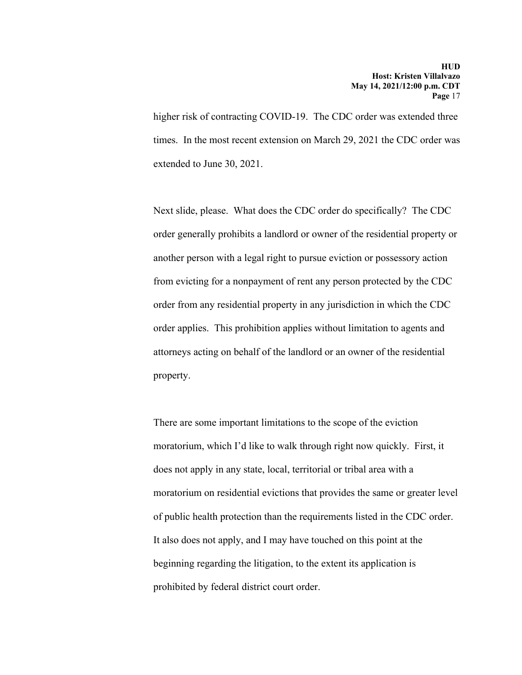higher risk of contracting COVID-19. The CDC order was extended three times. In the most recent extension on March 29, 2021 the CDC order was extended to June 30, 2021.

Next slide, please. What does the CDC order do specifically? The CDC order generally prohibits a landlord or owner of the residential property or another person with a legal right to pursue eviction or possessory action from evicting for a nonpayment of rent any person protected by the CDC order from any residential property in any jurisdiction in which the CDC order applies. This prohibition applies without limitation to agents and attorneys acting on behalf of the landlord or an owner of the residential property.

There are some important limitations to the scope of the eviction moratorium, which I'd like to walk through right now quickly. First, it does not apply in any state, local, territorial or tribal area with a moratorium on residential evictions that provides the same or greater level of public health protection than the requirements listed in the CDC order. It also does not apply, and I may have touched on this point at the beginning regarding the litigation, to the extent its application is prohibited by federal district court order.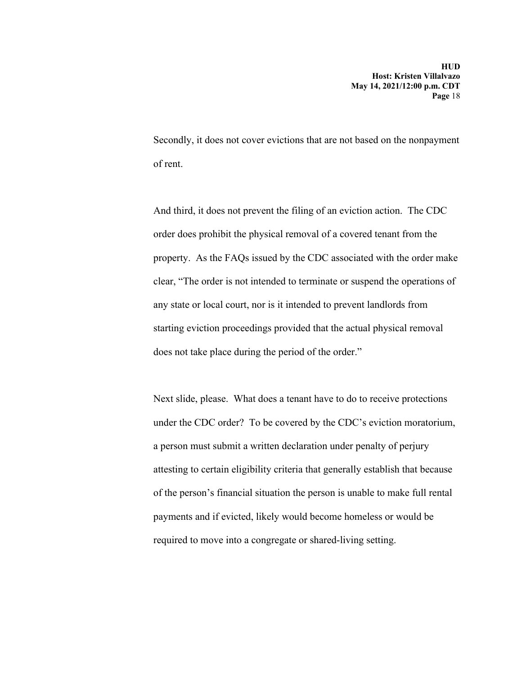Secondly, it does not cover evictions that are not based on the nonpayment of rent.

And third, it does not prevent the filing of an eviction action. The CDC order does prohibit the physical removal of a covered tenant from the property. As the FAQs issued by the CDC associated with the order make clear, "The order is not intended to terminate or suspend the operations of any state or local court, nor is it intended to prevent landlords from starting eviction proceedings provided that the actual physical removal does not take place during the period of the order."

Next slide, please. What does a tenant have to do to receive protections under the CDC order? To be covered by the CDC's eviction moratorium, a person must submit a written declaration under penalty of perjury attesting to certain eligibility criteria that generally establish that because of the person's financial situation the person is unable to make full rental payments and if evicted, likely would become homeless or would be required to move into a congregate or shared-living setting.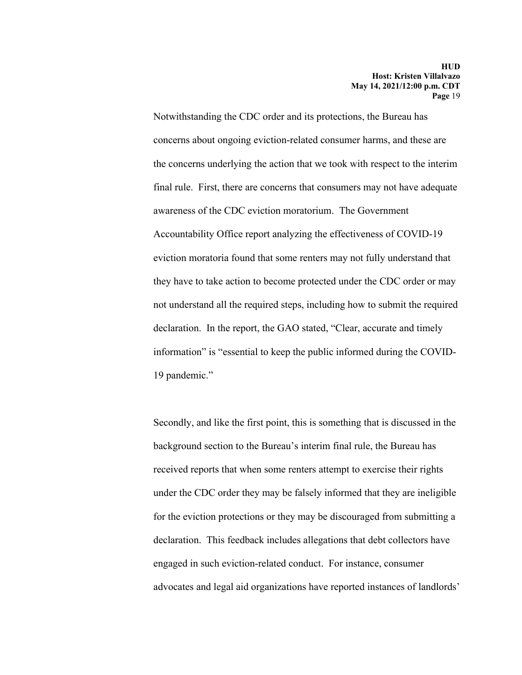Notwithstanding the CDC order and its protections, the Bureau has concerns about ongoing eviction-related consumer harms, and these are the concerns underlying the action that we took with respect to the interim final rule. First, there are concerns that consumers may not have adequate awareness of the CDC eviction moratorium. The Government Accountability Office report analyzing the effectiveness of COVID-19 eviction moratoria found that some renters may not fully understand that they have to take action to become protected under the CDC order or may not understand all the required steps, including how to submit the required declaration. In the report, the GAO stated, "Clear, accurate and timely information" is "essential to keep the public informed during the COVID-19 pandemic."

Secondly, and like the first point, this is something that is discussed in the background section to the Bureau's interim final rule, the Bureau has received reports that when some renters attempt to exercise their rights under the CDC order they may be falsely informed that they are ineligible for the eviction protections or they may be discouraged from submitting a declaration. This feedback includes allegations that debt collectors have engaged in such eviction-related conduct. For instance, consumer advocates and legal aid organizations have reported instances of landlords'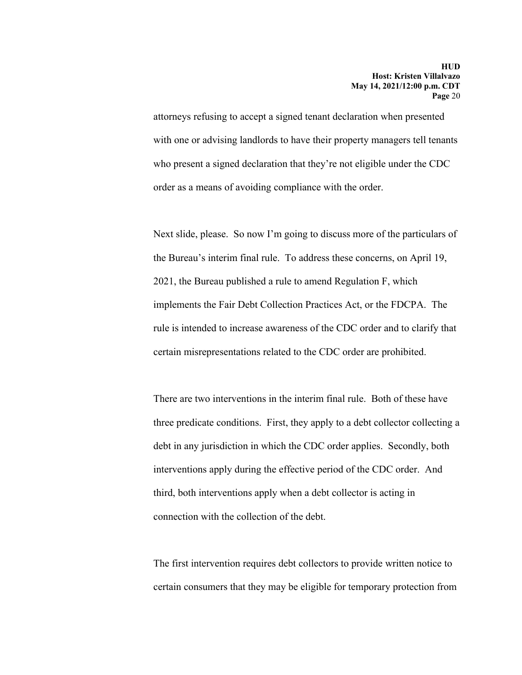attorneys refusing to accept a signed tenant declaration when presented with one or advising landlords to have their property managers tell tenants who present a signed declaration that they're not eligible under the CDC order as a means of avoiding compliance with the order.

Next slide, please. So now I'm going to discuss more of the particulars of the Bureau's interim final rule. To address these concerns, on April 19, 2021, the Bureau published a rule to amend Regulation F, which implements the Fair Debt Collection Practices Act, or the FDCPA. The rule is intended to increase awareness of the CDC order and to clarify that certain misrepresentations related to the CDC order are prohibited.

There are two interventions in the interim final rule. Both of these have three predicate conditions. First, they apply to a debt collector collecting a debt in any jurisdiction in which the CDC order applies. Secondly, both interventions apply during the effective period of the CDC order. And third, both interventions apply when a debt collector is acting in connection with the collection of the debt.

The first intervention requires debt collectors to provide written notice to certain consumers that they may be eligible for temporary protection from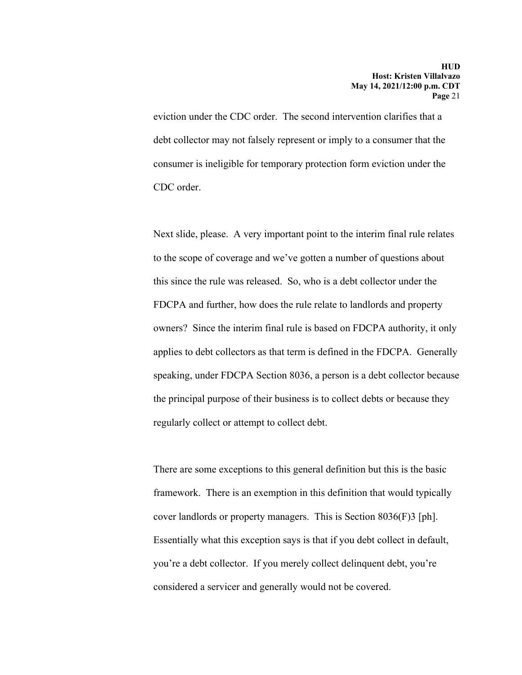eviction under the CDC order. The second intervention clarifies that a debt collector may not falsely represent or imply to a consumer that the consumer is ineligible for temporary protection form eviction under the CDC order.

Next slide, please. A very important point to the interim final rule relates to the scope of coverage and we've gotten a number of questions about this since the rule was released. So, who is a debt collector under the FDCPA and further, how does the rule relate to landlords and property owners? Since the interim final rule is based on FDCPA authority, it only applies to debt collectors as that term is defined in the FDCPA. Generally speaking, under FDCPA Section 8036, a person is a debt collector because the principal purpose of their business is to collect debts or because they regularly collect or attempt to collect debt.

There are some exceptions to this general definition but this is the basic framework. There is an exemption in this definition that would typically cover landlords or property managers. This is Section 8036(F)3 [ph]. Essentially what this exception says is that if you debt collect in default, you're a debt collector. If you merely collect delinquent debt, you're considered a servicer and generally would not be covered.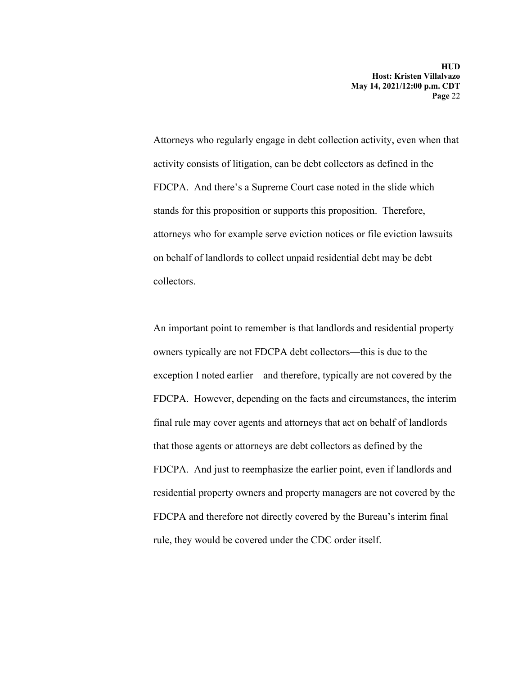Attorneys who regularly engage in debt collection activity, even when that activity consists of litigation, can be debt collectors as defined in the FDCPA. And there's a Supreme Court case noted in the slide which stands for this proposition or supports this proposition. Therefore, attorneys who for example serve eviction notices or file eviction lawsuits on behalf of landlords to collect unpaid residential debt may be debt collectors.

An important point to remember is that landlords and residential property owners typically are not FDCPA debt collectors—this is due to the exception I noted earlier—and therefore, typically are not covered by the FDCPA. However, depending on the facts and circumstances, the interim final rule may cover agents and attorneys that act on behalf of landlords that those agents or attorneys are debt collectors as defined by the FDCPA. And just to reemphasize the earlier point, even if landlords and residential property owners and property managers are not covered by the FDCPA and therefore not directly covered by the Bureau's interim final rule, they would be covered under the CDC order itself.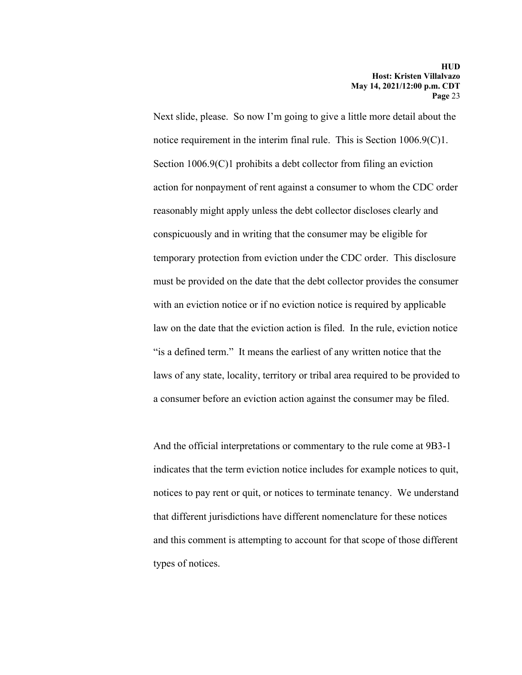Next slide, please. So now I'm going to give a little more detail about the notice requirement in the interim final rule. This is Section 1006.9(C)1. Section 1006.9(C)1 prohibits a debt collector from filing an eviction action for nonpayment of rent against a consumer to whom the CDC order reasonably might apply unless the debt collector discloses clearly and conspicuously and in writing that the consumer may be eligible for temporary protection from eviction under the CDC order. This disclosure must be provided on the date that the debt collector provides the consumer with an eviction notice or if no eviction notice is required by applicable law on the date that the eviction action is filed. In the rule, eviction notice "is a defined term." It means the earliest of any written notice that the laws of any state, locality, territory or tribal area required to be provided to a consumer before an eviction action against the consumer may be filed.

And the official interpretations or commentary to the rule come at 9B3-1 indicates that the term eviction notice includes for example notices to quit, notices to pay rent or quit, or notices to terminate tenancy. We understand that different jurisdictions have different nomenclature for these notices and this comment is attempting to account for that scope of those different types of notices.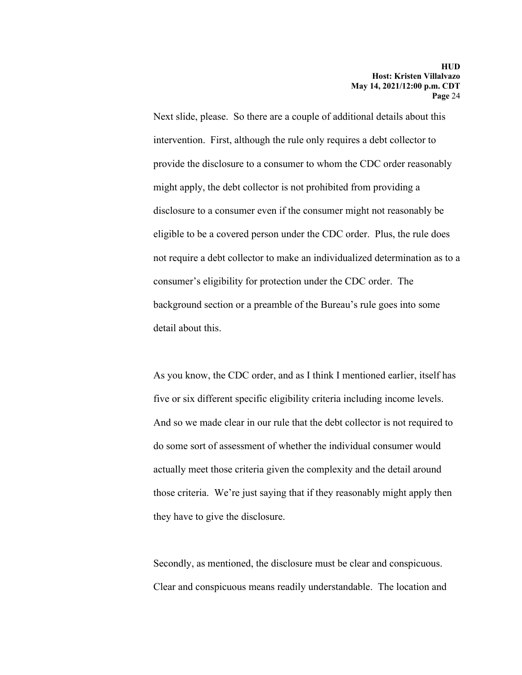Next slide, please. So there are a couple of additional details about this intervention. First, although the rule only requires a debt collector to provide the disclosure to a consumer to whom the CDC order reasonably might apply, the debt collector is not prohibited from providing a disclosure to a consumer even if the consumer might not reasonably be eligible to be a covered person under the CDC order. Plus, the rule does not require a debt collector to make an individualized determination as to a consumer's eligibility for protection under the CDC order. The background section or a preamble of the Bureau's rule goes into some detail about this.

As you know, the CDC order, and as I think I mentioned earlier, itself has five or six different specific eligibility criteria including income levels. And so we made clear in our rule that the debt collector is not required to do some sort of assessment of whether the individual consumer would actually meet those criteria given the complexity and the detail around those criteria. We're just saying that if they reasonably might apply then they have to give the disclosure.

Secondly, as mentioned, the disclosure must be clear and conspicuous. Clear and conspicuous means readily understandable. The location and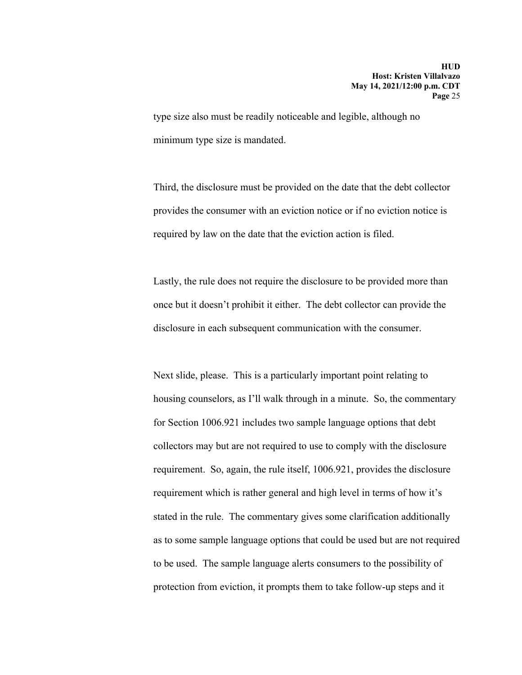type size also must be readily noticeable and legible, although no minimum type size is mandated.

Third, the disclosure must be provided on the date that the debt collector provides the consumer with an eviction notice or if no eviction notice is required by law on the date that the eviction action is filed.

Lastly, the rule does not require the disclosure to be provided more than once but it doesn't prohibit it either. The debt collector can provide the disclosure in each subsequent communication with the consumer.

Next slide, please. This is a particularly important point relating to housing counselors, as I'll walk through in a minute. So, the commentary for Section 1006.921 includes two sample language options that debt collectors may but are not required to use to comply with the disclosure requirement. So, again, the rule itself, 1006.921, provides the disclosure requirement which is rather general and high level in terms of how it's stated in the rule. The commentary gives some clarification additionally as to some sample language options that could be used but are not required to be used. The sample language alerts consumers to the possibility of protection from eviction, it prompts them to take follow-up steps and it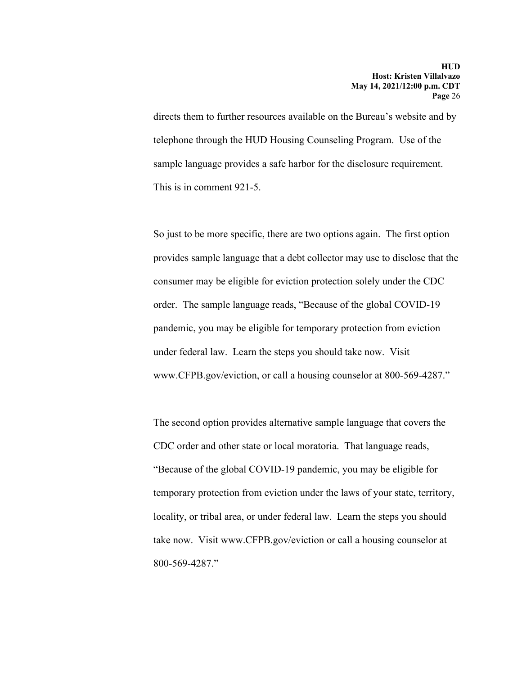directs them to further resources available on the Bureau's website and by telephone through the HUD Housing Counseling Program. Use of the sample language provides a safe harbor for the disclosure requirement. This is in comment 921-5.

So just to be more specific, there are two options again. The first option provides sample language that a debt collector may use to disclose that the consumer may be eligible for eviction protection solely under the CDC order. The sample language reads, "Because of the global COVID-19 pandemic, you may be eligible for temporary protection from eviction under federal law. Learn the steps you should take now. Visit www.CFPB.gov/eviction, or call a housing counselor at 800-569-4287."

The second option provides alternative sample language that covers the CDC order and other state or local moratoria. That language reads, "Because of the global COVID-19 pandemic, you may be eligible for temporary protection from eviction under the laws of your state, territory, locality, or tribal area, or under federal law. Learn the steps you should take now. Visit www.CFPB.gov/eviction or call a housing counselor at 800-569-4287."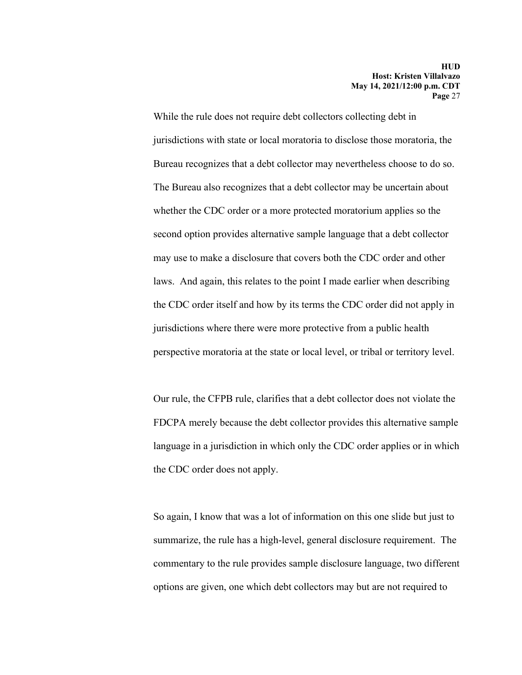While the rule does not require debt collectors collecting debt in jurisdictions with state or local moratoria to disclose those moratoria, the Bureau recognizes that a debt collector may nevertheless choose to do so. The Bureau also recognizes that a debt collector may be uncertain about whether the CDC order or a more protected moratorium applies so the second option provides alternative sample language that a debt collector may use to make a disclosure that covers both the CDC order and other laws. And again, this relates to the point I made earlier when describing the CDC order itself and how by its terms the CDC order did not apply in jurisdictions where there were more protective from a public health perspective moratoria at the state or local level, or tribal or territory level.

Our rule, the CFPB rule, clarifies that a debt collector does not violate the FDCPA merely because the debt collector provides this alternative sample language in a jurisdiction in which only the CDC order applies or in which the CDC order does not apply.

So again, I know that was a lot of information on this one slide but just to summarize, the rule has a high-level, general disclosure requirement. The commentary to the rule provides sample disclosure language, two different options are given, one which debt collectors may but are not required to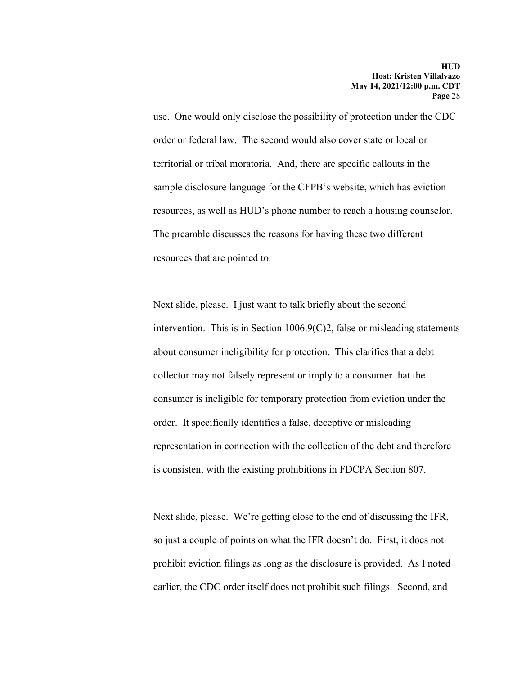use. One would only disclose the possibility of protection under the CDC order or federal law. The second would also cover state or local or territorial or tribal moratoria. And, there are specific callouts in the sample disclosure language for the CFPB's website, which has eviction resources, as well as HUD's phone number to reach a housing counselor. The preamble discusses the reasons for having these two different resources that are pointed to.

Next slide, please. I just want to talk briefly about the second intervention. This is in Section 1006.9(C)2, false or misleading statements about consumer ineligibility for protection. This clarifies that a debt collector may not falsely represent or imply to a consumer that the consumer is ineligible for temporary protection from eviction under the order. It specifically identifies a false, deceptive or misleading representation in connection with the collection of the debt and therefore is consistent with the existing prohibitions in FDCPA Section 807.

Next slide, please. We're getting close to the end of discussing the IFR, so just a couple of points on what the IFR doesn't do. First, it does not prohibit eviction filings as long as the disclosure is provided. As I noted earlier, the CDC order itself does not prohibit such filings. Second, and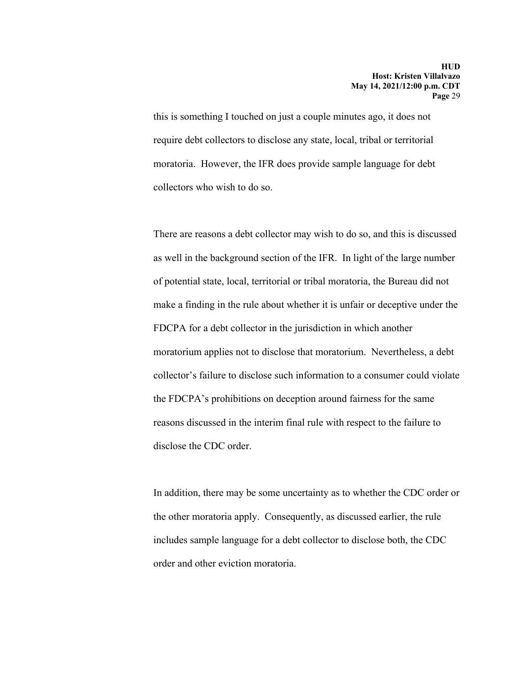this is something I touched on just a couple minutes ago, it does not require debt collectors to disclose any state, local, tribal or territorial moratoria. However, the IFR does provide sample language for debt collectors who wish to do so.

There are reasons a debt collector may wish to do so, and this is discussed as well in the background section of the IFR. In light of the large number of potential state, local, territorial or tribal moratoria, the Bureau did not make a finding in the rule about whether it is unfair or deceptive under the FDCPA for a debt collector in the jurisdiction in which another moratorium applies not to disclose that moratorium. Nevertheless, a debt collector's failure to disclose such information to a consumer could violate the FDCPA's prohibitions on deception around fairness for the same reasons discussed in the interim final rule with respect to the failure to disclose the CDC order.

In addition, there may be some uncertainty as to whether the CDC order or the other moratoria apply. Consequently, as discussed earlier, the rule includes sample language for a debt collector to disclose both, the CDC order and other eviction moratoria.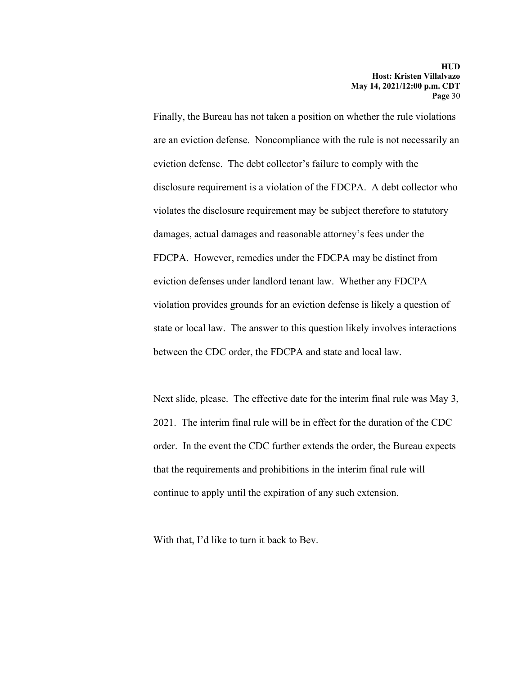Finally, the Bureau has not taken a position on whether the rule violations are an eviction defense. Noncompliance with the rule is not necessarily an eviction defense. The debt collector's failure to comply with the disclosure requirement is a violation of the FDCPA. A debt collector who violates the disclosure requirement may be subject therefore to statutory damages, actual damages and reasonable attorney's fees under the FDCPA. However, remedies under the FDCPA may be distinct from eviction defenses under landlord tenant law. Whether any FDCPA violation provides grounds for an eviction defense is likely a question of state or local law. The answer to this question likely involves interactions between the CDC order, the FDCPA and state and local law.

Next slide, please. The effective date for the interim final rule was May 3, 2021. The interim final rule will be in effect for the duration of the CDC order. In the event the CDC further extends the order, the Bureau expects that the requirements and prohibitions in the interim final rule will continue to apply until the expiration of any such extension.

With that, I'd like to turn it back to Bev.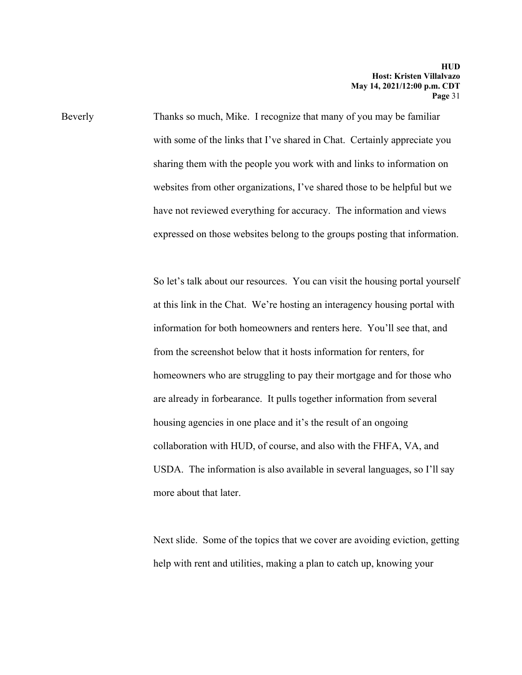Beverly Thanks so much, Mike. I recognize that many of you may be familiar with some of the links that I've shared in Chat. Certainly appreciate you sharing them with the people you work with and links to information on websites from other organizations, I've shared those to be helpful but we have not reviewed everything for accuracy. The information and views expressed on those websites belong to the groups posting that information.

> So let's talk about our resources. You can visit the housing portal yourself at this link in the Chat. We're hosting an interagency housing portal with information for both homeowners and renters here. You'll see that, and from the screenshot below that it hosts information for renters, for homeowners who are struggling to pay their mortgage and for those who are already in forbearance. It pulls together information from several housing agencies in one place and it's the result of an ongoing collaboration with HUD, of course, and also with the FHFA, VA, and USDA. The information is also available in several languages, so I'll say more about that later.

> Next slide. Some of the topics that we cover are avoiding eviction, getting help with rent and utilities, making a plan to catch up, knowing your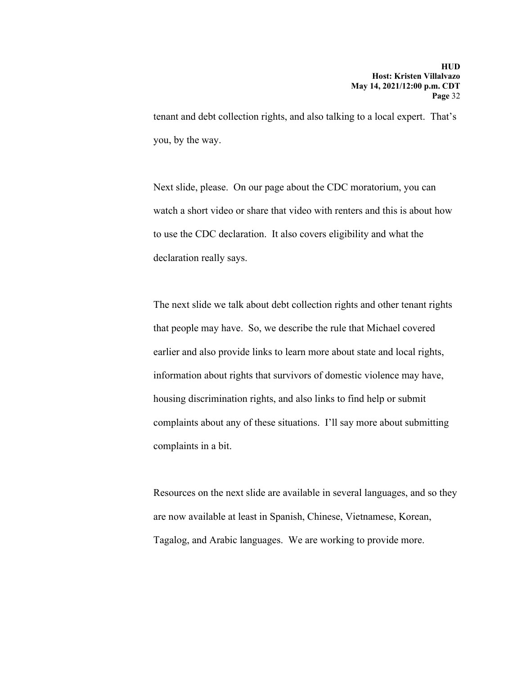tenant and debt collection rights, and also talking to a local expert. That's you, by the way.

Next slide, please. On our page about the CDC moratorium, you can watch a short video or share that video with renters and this is about how to use the CDC declaration. It also covers eligibility and what the declaration really says.

The next slide we talk about debt collection rights and other tenant rights that people may have. So, we describe the rule that Michael covered earlier and also provide links to learn more about state and local rights, information about rights that survivors of domestic violence may have, housing discrimination rights, and also links to find help or submit complaints about any of these situations. I'll say more about submitting complaints in a bit.

Resources on the next slide are available in several languages, and so they are now available at least in Spanish, Chinese, Vietnamese, Korean, Tagalog, and Arabic languages. We are working to provide more.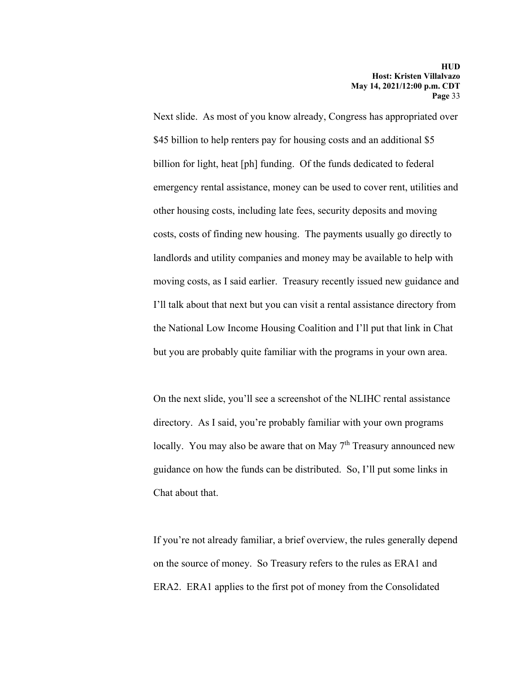Next slide. As most of you know already, Congress has appropriated over \$45 billion to help renters pay for housing costs and an additional \$5 billion for light, heat [ph] funding. Of the funds dedicated to federal emergency rental assistance, money can be used to cover rent, utilities and other housing costs, including late fees, security deposits and moving costs, costs of finding new housing. The payments usually go directly to landlords and utility companies and money may be available to help with moving costs, as I said earlier. Treasury recently issued new guidance and I'll talk about that next but you can visit a rental assistance directory from the National Low Income Housing Coalition and I'll put that link in Chat but you are probably quite familiar with the programs in your own area.

On the next slide, you'll see a screenshot of the NLIHC rental assistance directory. As I said, you're probably familiar with your own programs locally. You may also be aware that on May 7<sup>th</sup> Treasury announced new guidance on how the funds can be distributed. So, I'll put some links in Chat about that.

If you're not already familiar, a brief overview, the rules generally depend on the source of money. So Treasury refers to the rules as ERA1 and ERA2. ERA1 applies to the first pot of money from the Consolidated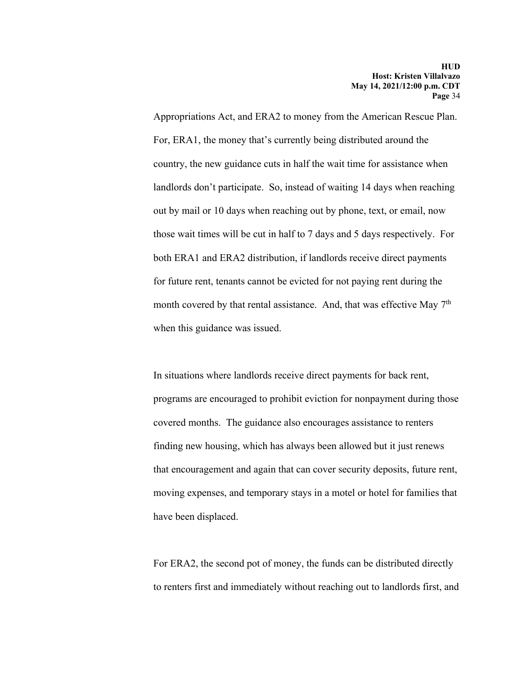Appropriations Act, and ERA2 to money from the American Rescue Plan. For, ERA1, the money that's currently being distributed around the country, the new guidance cuts in half the wait time for assistance when landlords don't participate. So, instead of waiting 14 days when reaching out by mail or 10 days when reaching out by phone, text, or email, now those wait times will be cut in half to 7 days and 5 days respectively. For both ERA1 and ERA2 distribution, if landlords receive direct payments for future rent, tenants cannot be evicted for not paying rent during the month covered by that rental assistance. And, that was effective May 7<sup>th</sup> when this guidance was issued.

In situations where landlords receive direct payments for back rent, programs are encouraged to prohibit eviction for nonpayment during those covered months. The guidance also encourages assistance to renters finding new housing, which has always been allowed but it just renews that encouragement and again that can cover security deposits, future rent, moving expenses, and temporary stays in a motel or hotel for families that have been displaced.

For ERA2, the second pot of money, the funds can be distributed directly to renters first and immediately without reaching out to landlords first, and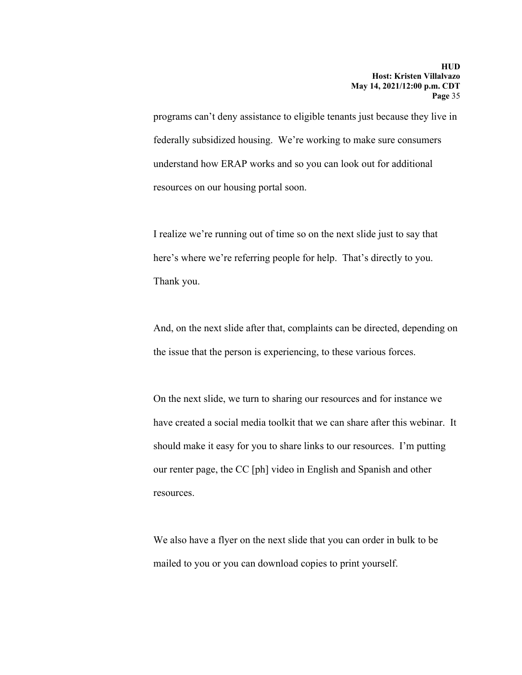programs can't deny assistance to eligible tenants just because they live in federally subsidized housing. We're working to make sure consumers understand how ERAP works and so you can look out for additional resources on our housing portal soon.

I realize we're running out of time so on the next slide just to say that here's where we're referring people for help. That's directly to you. Thank you.

And, on the next slide after that, complaints can be directed, depending on the issue that the person is experiencing, to these various forces.

On the next slide, we turn to sharing our resources and for instance we have created a social media toolkit that we can share after this webinar. It should make it easy for you to share links to our resources. I'm putting our renter page, the CC [ph] video in English and Spanish and other resources.

We also have a flyer on the next slide that you can order in bulk to be mailed to you or you can download copies to print yourself.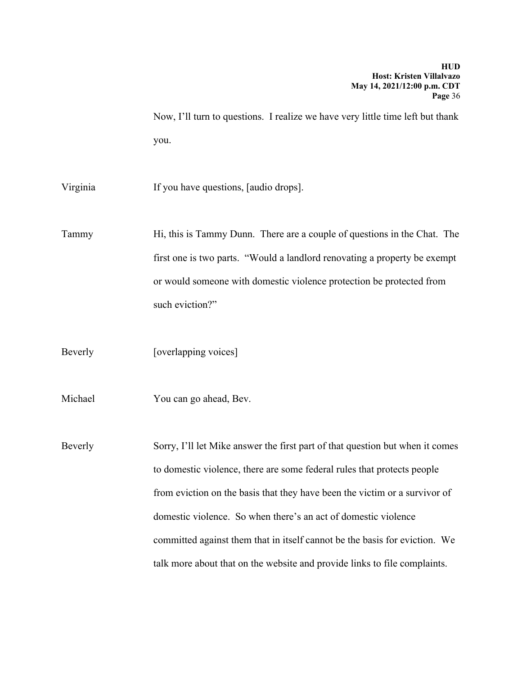Now, I'll turn to questions. I realize we have very little time left but thank you.

Virginia If you have questions, [audio drops].

Tammy Hi, this is Tammy Dunn. There are a couple of questions in the Chat. The first one is two parts. "Would a landlord renovating a property be exempt or would someone with domestic violence protection be protected from such eviction?"

Beverly [overlapping voices]

Michael You can go ahead, Bev.

Beverly Sorry, I'll let Mike answer the first part of that question but when it comes to domestic violence, there are some federal rules that protects people from eviction on the basis that they have been the victim or a survivor of domestic violence. So when there's an act of domestic violence committed against them that in itself cannot be the basis for eviction. We talk more about that on the website and provide links to file complaints.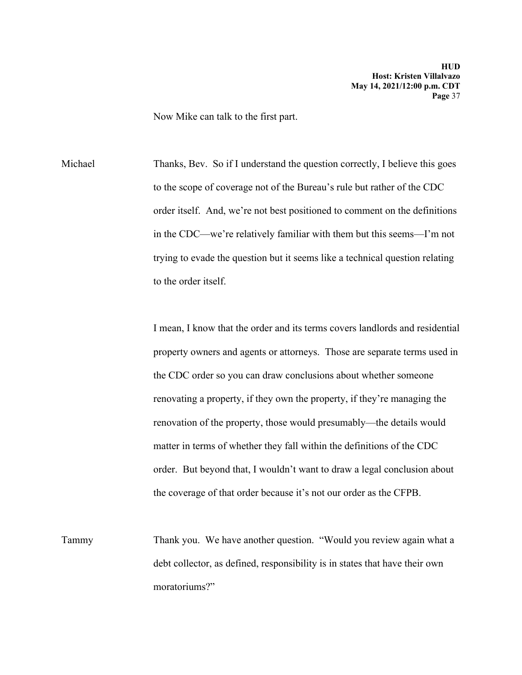Now Mike can talk to the first part.

Michael Thanks, Bev. So if I understand the question correctly, I believe this goes to the scope of coverage not of the Bureau's rule but rather of the CDC order itself. And, we're not best positioned to comment on the definitions in the CDC—we're relatively familiar with them but this seems—I'm not trying to evade the question but it seems like a technical question relating to the order itself.

> I mean, I know that the order and its terms covers landlords and residential property owners and agents or attorneys. Those are separate terms used in the CDC order so you can draw conclusions about whether someone renovating a property, if they own the property, if they're managing the renovation of the property, those would presumably—the details would matter in terms of whether they fall within the definitions of the CDC order. But beyond that, I wouldn't want to draw a legal conclusion about the coverage of that order because it's not our order as the CFPB.

Tammy Thank you. We have another question. "Would you review again what a debt collector, as defined, responsibility is in states that have their own moratoriums?"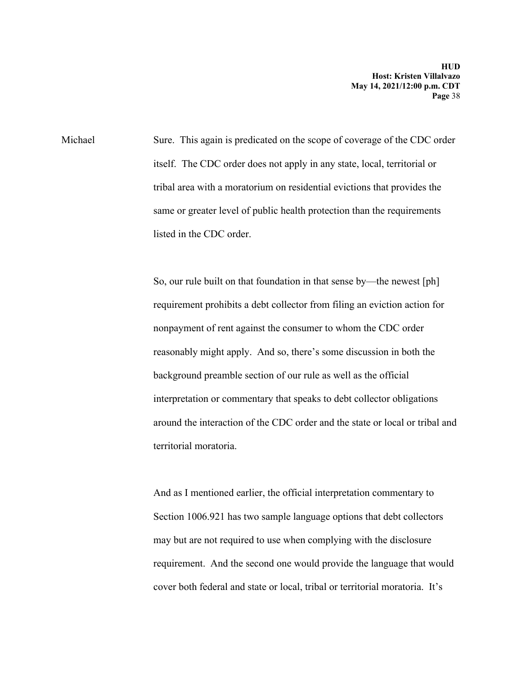Michael Sure. This again is predicated on the scope of coverage of the CDC order itself. The CDC order does not apply in any state, local, territorial or tribal area with a moratorium on residential evictions that provides the same or greater level of public health protection than the requirements listed in the CDC order.

> So, our rule built on that foundation in that sense by—the newest [ph] requirement prohibits a debt collector from filing an eviction action for nonpayment of rent against the consumer to whom the CDC order reasonably might apply. And so, there's some discussion in both the background preamble section of our rule as well as the official interpretation or commentary that speaks to debt collector obligations around the interaction of the CDC order and the state or local or tribal and territorial moratoria.

> And as I mentioned earlier, the official interpretation commentary to Section 1006.921 has two sample language options that debt collectors may but are not required to use when complying with the disclosure requirement. And the second one would provide the language that would cover both federal and state or local, tribal or territorial moratoria. It's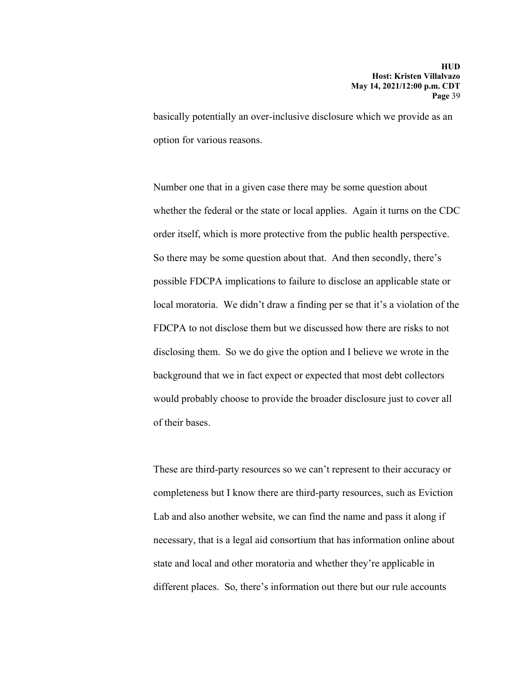basically potentially an over-inclusive disclosure which we provide as an option for various reasons.

Number one that in a given case there may be some question about whether the federal or the state or local applies. Again it turns on the CDC order itself, which is more protective from the public health perspective. So there may be some question about that. And then secondly, there's possible FDCPA implications to failure to disclose an applicable state or local moratoria. We didn't draw a finding per se that it's a violation of the FDCPA to not disclose them but we discussed how there are risks to not disclosing them. So we do give the option and I believe we wrote in the background that we in fact expect or expected that most debt collectors would probably choose to provide the broader disclosure just to cover all of their bases.

These are third-party resources so we can't represent to their accuracy or completeness but I know there are third-party resources, such as Eviction Lab and also another website, we can find the name and pass it along if necessary, that is a legal aid consortium that has information online about state and local and other moratoria and whether they're applicable in different places. So, there's information out there but our rule accounts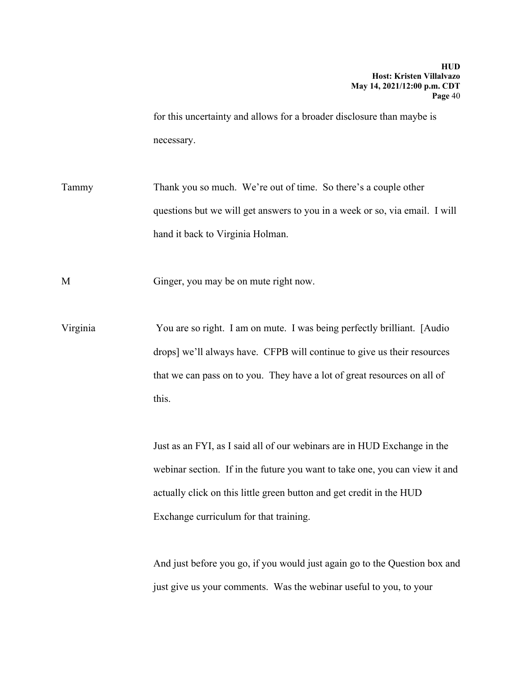for this uncertainty and allows for a broader disclosure than maybe is necessary.

Tammy Thank you so much. We're out of time. So there's a couple other questions but we will get answers to you in a week or so, via email. I will hand it back to Virginia Holman.

M Ginger, you may be on mute right now.

Virginia You are so right. I am on mute. I was being perfectly brilliant. [Audio drops] we'll always have. CFPB will continue to give us their resources that we can pass on to you. They have a lot of great resources on all of this.

> Just as an FYI, as I said all of our webinars are in HUD Exchange in the webinar section. If in the future you want to take one, you can view it and actually click on this little green button and get credit in the HUD Exchange curriculum for that training.

> And just before you go, if you would just again go to the Question box and just give us your comments. Was the webinar useful to you, to your